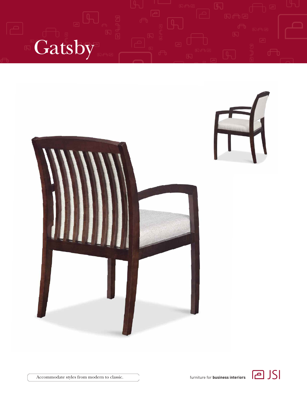